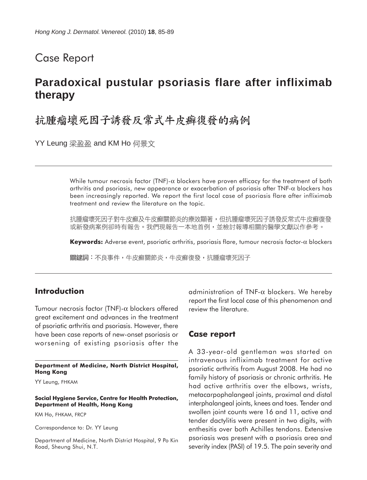## Case Report

# **Paradoxical pustular psoriasis flare after infliximab therapy**

# 抗腫瘤壞死因子誘發反常式牛皮癬復發的病例

YY Leung 梁盈盈 and KM Ho 何景文

While tumour necrosis factor (TNF)- $\alpha$  blockers have proven efficacy for the treatment of both arthritis and psoriasis, new appearance or exacerbation of psoriasis after TNF-α blockers has been increasingly reported. We report the first local case of psoriasis flare after infliximab treatment and review the literature on the topic.

抗腫瘤壞死因子對牛皮癬及牛皮癬關節炎的療效顯著,但抗腫瘤壞死因子誘發反常式牛皮癬復發 或新發病案例卻時有報告。我們現報告一本地首例,並檢討報導相關的醫學文獻以作參考。

**Keywords:** Adverse event, psoriatic arthritis, psoriasis flare, tumour necrosis factor-α blockers

關鍵詞:不良事件,牛皮癬關節炎,牛皮癬復發,抗腫瘤壞死因子

### **Introduction**

Tumour necrosis factor (TNF)-α blockers offered great excitement and advances in the treatment of psoriatic arthritis and psoriasis. However, there have been case reports of new-onset psoriasis or worsening of existing psoriasis after the

#### **Department of Medicine, North District Hospital, Hong Kong**

YY Leung, FHKAM

#### **Social Hygiene Service, Centre for Health Protection, Department of Health, Hong Kong**

KM Ho, FHKAM, FRCP

Correspondence to: Dr. YY Leung

Department of Medicine, North District Hospital, 9 Po Kin Road, Sheung Shui, N.T.

administration of TNF-α blockers. We hereby report the first local case of this phenomenon and review the literature.

### **Case report**

A 33-year-old gentleman was started on intravenous infliximab treatment for active psoriatic arthritis from August 2008. He had no family history of psoriasis or chronic arthritis. He had active arthritis over the elbows, wrists, metacarpophalangeal joints, proximal and distal interphalangeal joints, knees and toes. Tender and swollen joint counts were 16 and 11, active and tender dactylitis were present in two digits, with enthesitis over both Achilles tendons. Extensive psoriasis was present with a psoriasis area and severity index (PASI) of 19.5. The pain severity and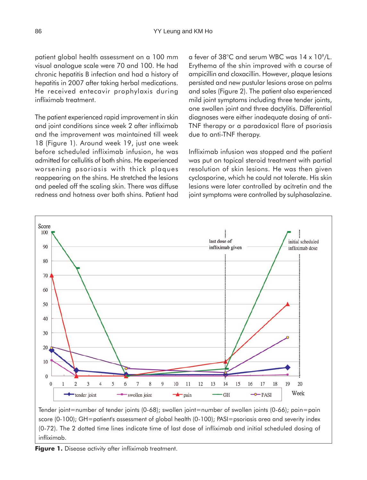patient global health assessment on a 100 mm visual analogue scale were 70 and 100. He had chronic hepatitis B infection and had a history of hepatitis in 2007 after taking herbal medications. He received entecavir prophylaxis during infliximab treatment.

The patient experienced rapid improvement in skin and joint conditions since week 2 after infliximab and the improvement was maintained till week 18 (Figure 1). Around week 19, just one week before scheduled infliximab infusion, he was admitted for cellulitis of both shins. He experienced worsening psoriasis with thick plaques reappearing on the shins. He stretched the lesions and peeled off the scaling skin. There was diffuse redness and hotness over both shins. Patient had a fever of 38 $\degree$ C and serum WBC was 14 x 10 $\degree$ /L. Erythema of the shin improved with a course of ampicillin and cloxacillin. However, plaque lesions persisted and new pustular lesions arose on palms and soles (Figure 2). The patient also experienced mild joint symptoms including three tender joints, one swollen joint and three dactylitis. Differential diagnoses were either inadequate dosing of anti-TNF therapy or a paradoxical flare of psoriasis due to anti-TNF therapy.

Infliximab infusion was stopped and the patient was put on topical steroid treatment with partial resolution of skin lesions. He was then given cyclosporine, which he could not tolerate. His skin lesions were later controlled by acitretin and the joint symptoms were controlled by sulphasalazine.



Tender joint=number of tender joints (0-68); swollen joint=number of swollen joints (0-66); pain=pain score (0-100); GH=patient's assessment of global health (0-100); PASI=psoriasis area and severity index (0-72). The 2 dotted time lines indicate time of last dose of infliximab and initial scheduled dosing of infliximab.

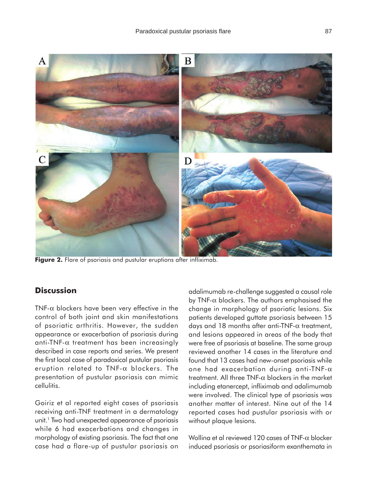



Figure 2. Flare of psoriasis and pustular eruptions after infliximab.

## **Discussion**

TNF- $\alpha$  blockers have been very effective in the control of both joint and skin manifestations of psoriatic arthritis. However, the sudden appearance or exacerbation of psoriasis during anti-TNF-α treatment has been increasingly described in case reports and series. We present the first local case of paradoxical pustular psoriasis eruption related to TNF-α blockers. The presentation of pustular psoriasis can mimic cellulitis.

Goiriz et al reported eight cases of psoriasis receiving anti-TNF treatment in a dermatology unit.1 Two had unexpected appearance of psoriasis while 6 had exacerbations and changes in morphology of existing psoriasis. The fact that one case had a flare-up of pustular psoriasis on

adalimumab re-challenge suggested a causal role by TNF- $\alpha$  blockers. The authors emphasised the change in morphology of psoriatic lesions. Six patients developed guttate psoriasis between 15 days and 18 months after anti-TNF-α treatment, and lesions appeared in areas of the body that were free of psoriasis at baseline. The same group reviewed another 14 cases in the literature and found that 13 cases had new-onset psoriasis while one had exacerbation during anti-TNF-α treatment. All three TNF- $\alpha$  blockers in the market including etanercept, infliximab and adalimumab were involved. The clinical type of psoriasis was another matter of interest. Nine out of the 14 reported cases had pustular psoriasis with or without plaque lesions.

Wollina et al reviewed 120 cases of TNF-α blocker induced psoriasis or psoriasiform exanthemata in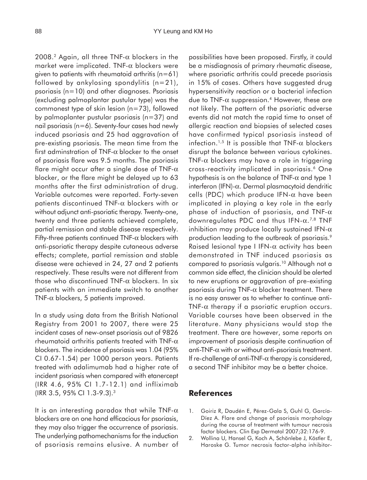2008.<sup>2</sup> Again, all three TNF- $\alpha$  blockers in the market were implicated. TNF- $\alpha$  blockers were given to patients with rheumatoid arthritis  $(n=61)$ followed by ankylosing spondylitis  $(n=21)$ , psoriasis (n=10) and other diagnoses. Psoriasis (excluding palmoplantar pustular type) was the commonest type of skin lesion (n=73), followed by palmoplanter pustular psoriasis (n=37) and nail psoriasis (n=6). Seventy-four cases had newly induced psoriasis and 25 had aggravation of pre-existing psoriasis. The mean time from the first adminstration of TNF- $\alpha$  blocker to the onset of psoriasis flare was 9.5 months. The psoriasis flare might occur after a single dose of TNF- $\alpha$ blocker, or the flare might be delayed up to 63 months after the first administration of drug. Variable outcomes were reported. Forty-seven patients discontinued TNF- $\alpha$  blockers with or without adjunct anti-psoriatic therapy. Twenty-one, twenty and three patients achieved complete, partial remission and stable disease respectively. Fifty-three patients continued TNF- $\alpha$  blockers with anti-psoriatic therapy despite cutaneous adverse effects; complete, partial remission and stable disease were achieved in 24, 27 and 2 patients respectively. These results were not different from those who discontinued TNF- $\alpha$  blockers. In six patients with an immediate switch to another TNF- $\alpha$  blockers, 5 patients improved.

In a study using data from the British National Registry from 2001 to 2007, there were 25 incident cases of new-onset psoriasis out of 9826 rheumatoid arthritis patients treated with TNF- $\alpha$ blockers. The incidence of psoriasis was 1.04 (95% CI 0.67-1.54) per 1000 person years. Patients treated with adalimumab had a higher rate of incident psoriasis when compared with etanercept (IRR 4.6, 95% CI 1.7-12.1) and infliximab (IRR 3.5, 95% CI 1.3-9.3).3

It is an interesting paradox that while TNF- $\alpha$ blockers are on one hand efficacious for psoriasis, they may also trigger the occurrence of psoriasis. The underlying pathomechanisms for the induction of psoriasis remains elusive. A number of possibilities have been proposed. Firstly, it could be a misdiagnosis of primary rheumatic disease, where psoriatic arthritis could precede psoriasis in 15% of cases. Others have suggested drug hypersensitivity reaction or a bacterial infection due to TNF- $\alpha$  suppression.<sup>4</sup> However, these are not likely. The pattern of the psoriatic adverse events did not match the rapid time to onset of allergic reaction and biopsies of selected cases have confirmed typical psoriasis instead of infection.<sup>1,5</sup> It is possible that TNF- $\alpha$  blockers disrupt the balance between various cytokines. TNF- $\alpha$  blockers may have a role in triggering cross-reactivity implicated in psoriasis.6 One hypothesis is on the balance of  $TNF-\alpha$  and type 1 interferon (IFN)-α. Dermal plasmacytoid dendritic cells (PDC) which produce IFN-α have been implicated in playing a key role in the early phase of induction of psoriasis, and TNF- $\alpha$ downregulates PDC and thus IFN-α.7,8 TNF inhibition may produce locally sustained IFN- $\alpha$ production leading to the outbreak of psoriasis.<sup>9</sup> Raised lesional type I IFN- $\alpha$  activity has been demonstrated in TNF induced psoriasis as compared to psoriasis vulgaris.10 Although not a common side effect, the clinician should be alerted to new eruptions or aggravation of pre-existing psoriasis during TNF- $\alpha$  blocker treatment. There is no easy answer as to whether to continue anti-TNF- $\alpha$  therapy if a psoriatic eruption occurs. Variable courses have been observed in the literature. Many physicians would stop the treatment. There are however, some reports on improvement of psoriasis despite continuation of anti-TNF- $\alpha$  with or without anti-psoriasis treatment. If re-challenge of anti-TNF- $\alpha$  therapy is considered, a second TNF inhibitor may be a better choice.

### **References**

- 1. Goiriz R, Daudén E, Pérez-Gala S, Guhl G, García-Díez A. Flare and change of psoriasis morphology during the course of treatment with tumour necrosis factor blockers. Clin Exp Dermatol 2007;32:176-9.
- 2. Wollina U, Hansel G, Koch A, Schönlebe J, Köstler E, Haroske G. Tumor necrosis factor-alpha inhibitor-